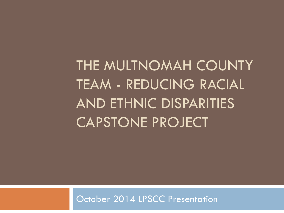THE MULTNOMAH COUNTY TEAM - REDUCING RACIAL AND ETHNIC DISPARITIES CAPSTONE PROJECT

October 2014 LPSCC Presentation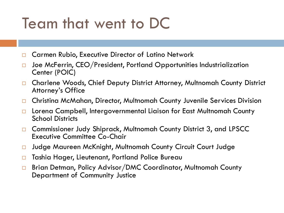### Team that went to DC

- □ Carmen Rubio, Executive Director of Latino Network
- $\Box$  Joe McFerrin, CEO/President, Portland Opportunities Industrialization Center (POIC)
- □ Charlene Woods, Chief Deputy District Attorney, Multnomah County District Attorney's Office
- □ Christina McMahan, Director, Multnomah County Juvenile Services Division
- Lorena Campbell, Intergovernmental Liaison for East Multnomah County School Districts
- Commissioner Judy Shiprack, Multnomah County District 3, and LPSCC Executive Committee Co-Chair
- □ Judge Maureen McKnight, Multnomah County Circuit Court Judge
- □ Tashia Hager, Lieutenant, Portland Police Bureau
- □ Brian Detman, Policy Advisor/DMC Coordinator, Multnomah County Department of Community Justice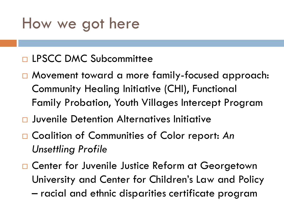### How we got here

### □ LPSCC DMC Subcommittee

- Movement toward a more family-focused approach: Community Healing Initiative (CHI), Functional Family Probation, Youth Villages Intercept Program
- Juvenile Detention Alternatives Initiative
- □ Coalition of Communities of Color report: An *Unsettling Profile*
- □ Center for Juvenile Justice Reform at Georgetown University and Center for Children's Law and Policy – racial and ethnic disparities certificate program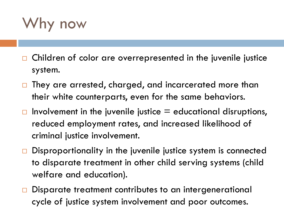Why now

- Children of color are overrepresented in the juvenile justice system.
- □ They are arrested, charged, and incarcerated more than their white counterparts, even for the same behaviors.
- $\Box$  Involvement in the juvenile justice  $\Xi$  educational disruptions, reduced employment rates, and increased likelihood of criminal justice involvement.
- $\Box$  Disproportionality in the juvenile justice system is connected to disparate treatment in other child serving systems (child welfare and education).
- □ Disparate treatment contributes to an intergenerational cycle of justice system involvement and poor outcomes.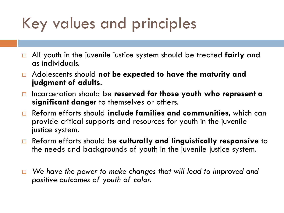## Key values and principles

- All youth in the juvenile justice system should be treated **fairly** and as individuals.
- Adolescents should **not be expected to have the maturity and judgment of adults**.
- Incarceration should be **reserved for those youth who represent a significant danger** to themselves or others.
- Reform efforts should **include families and communities,** which can provide critical supports and resources for youth in the juvenile justice system.
- Reform efforts should be **culturally and linguistically responsive** to the needs and backgrounds of youth in the juvenile justice system.
- *We have the power to make changes that will lead to improved and positive outcomes of youth of color.*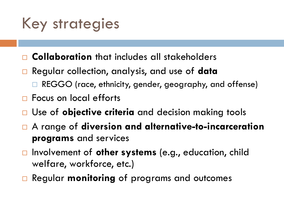## Key strategies

- **Collaboration** that includes all stakeholders
- Regular collection, analysis, and use of **data**
	- REGGO (race, ethnicity, gender, geography, and offense)
- □ Focus on local efforts
- Use of **objective criteria** and decision making tools
- A range of **diversion and alternative-to-incarceration programs** and services
- Involvement of **other systems** (e.g., education, child welfare, workforce, etc.)
- **□ Regular monitoring of programs and outcomes**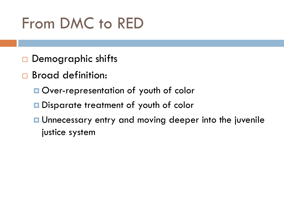# From DMC to RED

- $\square$  Demographic shifts
- □ Broad definition:
	- **Over-representation of youth of color**
	- **Disparate treatment of youth of color**
	- **<u>E</u>** Unnecessary entry and moving deeper into the juvenile justice system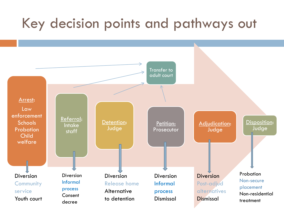### Key decision points and pathways out

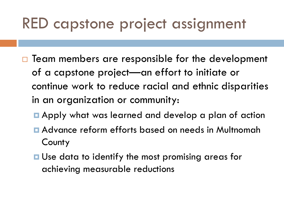## RED capstone project assignment

- $\Box$  Team members are responsible for the development of a capstone project—an effort to initiate or continue work to reduce racial and ethnic disparities in an organization or community:
	- **E** Apply what was learned and develop a plan of action
	- Advance reform efforts based on needs in Multnomah **County**
	- **□** Use data to identify the most promising areas for achieving measurable reductions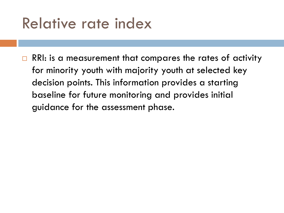### Relative rate index

 $\Box$  RRI: is a measurement that compares the rates of activity for minority youth with majority youth at selected key decision points. This information provides a starting baseline for future monitoring and provides initial guidance for the assessment phase.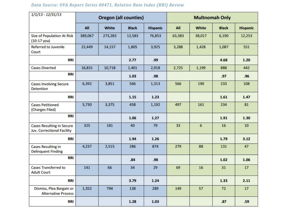### $1/1/13 - 12/31/13$ **Oregon (all counties) Multnomah Only** All All White **Black Hispanic** White **Black Hispanic Size of Population At Risk** 6,190 389,067 273,283 12,583 76,853 63,383 38,017 12,253  $(10-17 y)$ oa) Referred to Juvenile 14,157 1,805 3,925 3,288 1,428 1,087 551 22,449 Court **RRI** 2.77  $.99$ 4.68  $1.20$ **Cases Diverted** 16,831 10,718 2,725 1,199 442 1,401 2,918 888 RRI 1.03 .98  $.97$  $.96$ 6,392 3,851 566 1,313 566 190 233 108 **Cases Involving Secure** Detention RRI  $1.15$  $1.23$ 1.61  $1.47$ 5,730 3,375 458 497 161 234 81 **Cases Petitioned** 1,192 (Charges Filed) RRI 1.06  $1.27$ 1.91  $1.30$ **Cases Resulting in Secure** 325 181 40 79 33 6 16  $10<sup>10</sup>$ Juv. Correctional Facility 1.79 RRI 1.94  $1.26$  $3.12$ 4,237 2,515 874 279 88 47 Cases Resulting in 286 131 **Delinquent Finding** RRI  $.84$ .98  $1.02$ 1.06 Cases Transferred to 141 66 34 29 69 16  $31$ 17 **Adult Court** RRI 3.79  $1.24$ 1.33  $2.11$ Dismiss, Plea Bargain or 794 57  $72$ 17 1,352 138 289 149 **Alternative Process** RRI 1.28 1.03  $.87$  $.59$

### Data Source: OYA Report Series 00471, Relative Rate Index (RRI) Review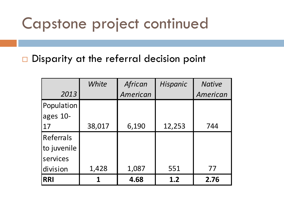### Capstone project continued

Disparity at the referral decision point

|             | White  | African  | Hispanic | <b>Native</b> |  |
|-------------|--------|----------|----------|---------------|--|
| 2013        |        | American |          | American      |  |
| Population  |        |          |          |               |  |
| ages 10-    |        |          |          |               |  |
| 17          | 38,017 | 6,190    | 12,253   | 744           |  |
| Referrals   |        |          |          |               |  |
| to juvenile |        |          |          |               |  |
| services    |        |          |          |               |  |
| division    | 1,428  | 1,087    | 551      | 77            |  |
| <b>RRI</b>  | 1      | 4.68     | 1.2      | 2.76          |  |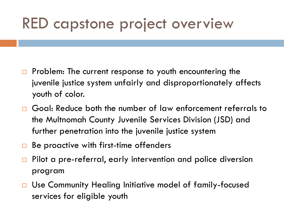### RED capstone project overview

- $\Box$  Problem: The current response to youth encountering the juvenile justice system unfairly and disproportionately affects youth of color.
- □ Goal: Reduce both the number of law enforcement referrals to the Multnomah County Juvenile Services Division (JSD) and further penetration into the juvenile justice system
- $\Box$  Be proactive with first-time offenders
- □ Pilot a pre-referral, early intervention and police diversion program
- □ Use Community Healing Initiative model of family-focused services for eligible youth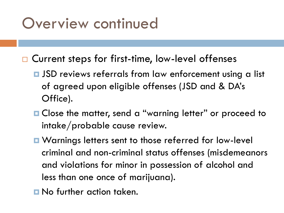### Overview continued

- □ Current steps for first-time, low-level offenses
	- $\blacksquare$  JSD reviews referrals from law enforcement using a list of agreed upon eligible offenses (JSD and & DA's Office).
	- **□ Close the matter, send a "warning letter" or proceed to** intake/probable cause review.
	- Warnings letters sent to those referred for low-level criminal and non-criminal status offenses (misdemeanors and violations for minor in possession of alcohol and less than one once of marijuana).
	- No further action taken.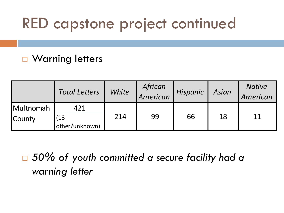## RED capstone project continued

### □ Warning letters

|           | <b>Total Letters</b>  | White | African<br>American | Hispanic | Asian | <b>Native</b><br>American |
|-----------|-----------------------|-------|---------------------|----------|-------|---------------------------|
| Multnomah | 421                   | 214   | 99                  | 66       | 18    | 11                        |
| County    | (13<br>other/unknown) |       |                     |          |       |                           |

 *50% of youth committed a secure facility had a warning letter*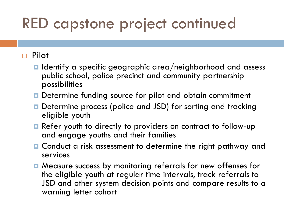## RED capstone project continued

### Pilot

- $\blacksquare$  Identify a specific geographic area/neighborhood and assess public school, police precinct and community partnership possibilities
- **D** Determine funding source for pilot and obtain commitment
- Determine process (police and JSD) for sorting and tracking eligible youth
- **Refer youth to directly to providers on contract to follow-up** and engage youths and their families
- Conduct a risk assessment to determine the right pathway and services
- Measure success by monitoring referrals for new offenses for the eligible youth at regular time intervals, track referrals to JSD and other system decision points and compare results to a warning letter cohort